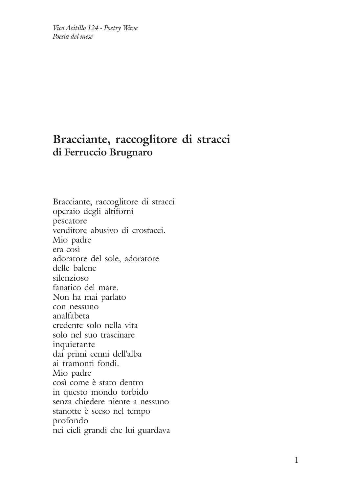*Vico Acitillo 124 - Poetry Wave Poesia del mese*

## **Bracciante, raccoglitore di stracci di Ferruccio Brugnaro**

Bracciante, raccoglitore di stracci operaio degli altiforni pescatore venditore abusivo di crostacei. Mio padre era così adoratore del sole, adoratore delle balene silenzioso fanatico del mare. Non ha mai parlato con nessuno analfabeta credente solo nella vita solo nel suo trascinare inquietante dai primi cenni dell'alba ai tramonti fondi. Mio padre così come è stato dentro in questo mondo torbido senza chiedere niente a nessuno stanotte è sceso nel tempo profondo nei cieli grandi che lui guardava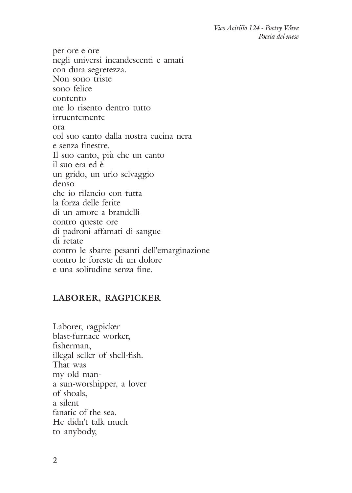*Vico Acitillo 124 - Poetry Wave Poesia del mese*

per ore e ore negli universi incandescenti e amati con dura segretezza. Non sono triste sono felice contento me lo risento dentro tutto irruentemente ora col suo canto dalla nostra cucina nera e senza finestre. Il suo canto, più che un canto il suo era ed è un grido, un urlo selvaggio denso che io rilancio con tutta la forza delle ferite di un amore a brandelli contro queste ore di padroni affamati di sangue di retate contro le sbarre pesanti dell'emarginazione contro le foreste di un dolore e una solitudine senza fine.

## **LABORER, RAGPICKER**

Laborer, ragpicker blast-furnace worker, fisherman, illegal seller of shell-fish. That was my old mana sun-worshipper, a lover of shoals, a silent fanatic of the sea. He didn't talk much to anybody,